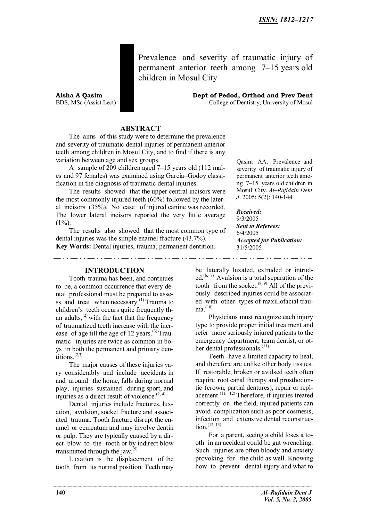Prevalence and severity of traumatic injury of permanent anterior teeth among 7–15 years old children in Mosul City

**Aisha A Qasim Dept of Pedod, Orthod and Prev Dent**

BDS, MSc (Assist Lect) College of Dentistry, University of Mosul

## **ABSTRACT**

The aims of this study were to determine the prevalence and severity of traumatic dental injuries of permanent anterior teeth among children in Mosul City, and to find if there is any variation between age and sex groups.

A sample of 209 children aged 7–15 years old (112 males and 97 females) was examined using Garcia–Godoy classification in the diagnosis of traumatic dental injuries.

The results showed that the upper central incisors were the most commonly injured teeth (60%) followed by the lateral incisors (35%). No case of injured canine was recorded. The lower lateral incisors reported the very little average  $(1\%)$ .

The results also showed that the most common type of dental injuries was the simple enamel fracture (43.7%). **Key Words:** Dental injuries, trauma, permanent dentition.

**INTRODUCTION**

Tooth trauma has been, and continues to be, a common occurrence that every dental professional must be prepared to assess and treat when necessary.<sup>(1)</sup> Trauma to children's teeth occurs quite frequently than adults, $^{(2)}$  with the fact that the frequency of traumatized teeth increase with the increase of age till the age of 12 years.<sup>(3)</sup> Traumatic injuries are twice as common in boys in both the permanent and primary dentitions.<sup>(2,3)</sup>

The major causes of these injuries vary considerably and include accidents in and around the home, falls during normal play, injuries sustained during sport, and injuries as a direct result of violence.<sup> $(2, 4)$ </sup>

Dental injuries include fractures, luxation, avulsion, socket fracture and associated trauma. Tooth fracture disrupt the enamel or cementum and may involve dentin or pulp. They are typically caused by a direct blow to the tooth or by indirect blow transmitted through the jaw. $^{(5)}$ 

Luxation is the displacement of the tooth from its normal position. Teeth may

Qasim AA. Prevalence and severity of traumatic injury of permanent anterior teeth among 7–15 years old children in Mosul City. *Al–Rafidain Dent J*. 2005; 5(2): 140-144.

*Received:* 9/3/2005 *Sent to Referees:* 6/4/2005 *Accepted for Publication:* 31/5/2005

 $\sim 10^{-1}$ 

be laterally luxated, extruded or intruded.<sup> $(6, 7)$ </sup> Avulsion is a total separation of the tooth from the socket. $^{(8, 9)}$  All of the previously described injuries could be associated with other types of maxillofacial trau $ma.$ <sup>(10)</sup>

Physicians must recognize each injury type to provide proper initial treatment and refer more seriously injured patients to the emergency department, team dentist, or other dental professionals.<sup>(11)</sup>

Teeth have a limited capacity to heal, and therefore are unlike other body tissues. If restorable, broken or avulsed teeth often require root canal therapy and prosthodontic (crown, partial dentures), repair or replacement.<sup> $(11, 12)$ </sup> Therefore, if injuries treated correctly on the field, injured patients can avoid complication such as poor cosmesis, infection and extensive dental reconstruc $tion.$ <sup> $(12, 13)$ </sup>

For a parent, seeing a child loses a tooth in an accident could be gut wrenching. Such injuries are often bloody and anxiety provoking for the child as well. Knowing how to prevent dental injury and what to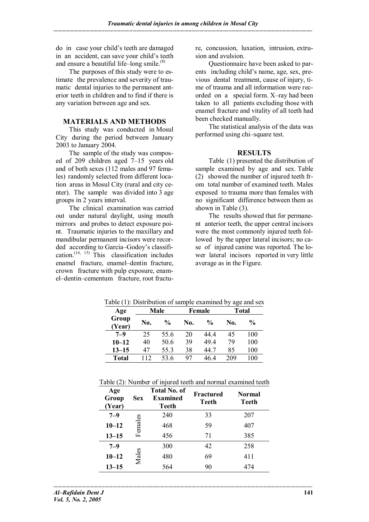do in case your child's teeth are damaged in an accident, can save your child's teeth and ensure a beautiful life–long smile. $(8)$ 

The purposes of this study were to estimate the prevalence and severity of traumatic dental injuries to the permanent anterior teeth in children and to find if there is any variation between age and sex.

## **MATERIALS AND METHODS**

This study was conducted in Mosul City during the period between January 2003 to January 2004.

The sample of the study was composed of 209 children aged 7–15 years old and of both sexes (112 males and 97 females) randomly selected from different location areas in Mosul City (rural and city center). The sample was divided into 3 age groups in 2 years interval.

The clinical examination was carried out under natural daylight, using mouth mirrors and probes to detect exposure point. Traumatic injuries to the maxillary and mandibular permanent incisors were recorded according to Garcia–Godoy's classification.<sup> $(14, 15)$ </sup> This classification includes enamel fracture, enamel–dentin fracture, crown fracture with pulp exposure, enamel–dentin–cementum fracture, root fracture, concussion, luxation, intrusion, extrusion and avulsion.

Questionnaire have been asked to parents including child's name, age, sex, previous dental treatment, cause of injury, time of trauma and all information were recorded on a special form. X–ray had been taken to all patients excluding those with enamel fracture and vitality of all teeth had been checked manually.

The statistical analysis of the data was performed using chi–square test.

# **RESULTS**

Table (1) presented the distribution of sample examined by age and sex. Table (2) showed the number of injured teeth from total number of examined teeth. Males exposed to trauma more than females with no significant difference between them as shown in Table (3).

The results showed that for permanent anterior teeth, the upper central incisors were the most commonly injured teeth followed by the upper lateral incisors; no case of injured canine was reported. The lower lateral incisors reported in very little average as in the Figure.

| Age             | <b>Male</b> |               |     | Female        | <b>Total</b> |      |
|-----------------|-------------|---------------|-----|---------------|--------------|------|
| Group<br>(Year) | No.         | $\frac{0}{0}$ | No. | $\frac{6}{9}$ | No.          | $\%$ |
| $7 - 9$         | 25          | 55.6          | 20  | 44 4          | 45           | 100  |
| $10 - 12$       | 40          | 50.6          | 39  | 494           | 79           | 100  |
| $13 - 15$       | 47          | 55.3          | 38  | 44.7          | 85           | 100  |
| <b>Total</b>    | 112         | 53.6          | 97  | 464           | 209          | 100  |

Table  $(1)$ : Distribution of sample examined by age and sex

|  | Table (2): Number of injured teeth and normal examined teeth |  |
|--|--------------------------------------------------------------|--|
|--|--------------------------------------------------------------|--|

| Age<br>Group<br>(Year) | <b>Sex</b> | Total No. of<br><b>Examined</b><br>Teeth | Fractured<br><b>Teeth</b> | <b>Normal</b><br>Teeth |
|------------------------|------------|------------------------------------------|---------------------------|------------------------|
| $7 - 9$                |            | 240                                      | 33                        | 207                    |
| $10 - 12$              | Females    | 468                                      | 59                        | 407                    |
| $13 - 15$              |            | 456                                      | 71                        | 385                    |
| $7 - 9$                |            | 300                                      | 42                        | 258                    |
| $10 - 12$              | Males      | 480                                      | 69                        | 411                    |
| $13 - 15$              |            | 564                                      | 90                        | 474                    |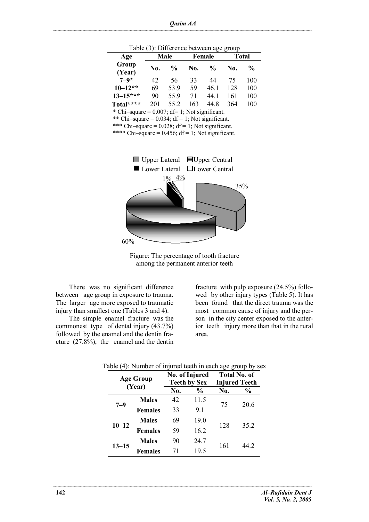| (0, 0.000)      |      |                |     |               |              |               |  |
|-----------------|------|----------------|-----|---------------|--------------|---------------|--|
| Age             | Male |                |     | Female        | <b>Total</b> |               |  |
| Group<br>(Year) | No.  | $\frac{6}{10}$ | No. | $\frac{0}{0}$ | No.          | $\frac{6}{9}$ |  |
| $7 - 9*$        | 42   | 56             | 33  | 44            | 75           | 100           |  |
| $10 - 12**$     | 69   | 53.9           | 59  | 46.1          | 128          | 100           |  |
| $13 - 15***$    | 90   | 55.9           | 71  | 44 1          | 161          | 100           |  |
| Total****       | 201  | 552            | 163 | 44 8          | 364          | 100           |  |

Table (3): Difference between age group

\* Chi–square =  $0.007$ ; df= 1; Not significant.

\*\* Chi–square =  $0.034$ ; df = 1; Not significant.

\*\*\* Chi–square =  $0.028$ ; df = 1; Not significant.

\*\*\*\* Chi–square =  $0.456$ ; df = 1; Not significant.



Figure: The percentage of tooth fracture among the permanent anterior teeth

There was no significant difference between age group in exposure to trauma. The larger age more exposed to traumatic injury than smallest one (Tables 3 and 4).

The simple enamel fracture was the commonest type of dental injury (43.7%) followed by the enamel and the dentin fracture (27.8%), the enamel and the dentin

fracture with pulp exposure (24.5%) followed by other injury types (Table 5). It has been found that the direct trauma was the most common cause of injury and the person in the city center exposed to the anterior teeth injury more than that in the rural area.

| <b>Age Group</b><br>(Year) |                |     | No. of Injured<br><b>Teeth by Sex</b> |     | <b>Total No. of</b><br><b>Injured Teeth</b> |
|----------------------------|----------------|-----|---------------------------------------|-----|---------------------------------------------|
|                            |                | No. | $\frac{0}{0}$                         | No. | $\%$                                        |
| $7 - 9$                    | <b>Males</b>   | 42  | 11.5                                  | 75  | 20.6                                        |
|                            | <b>Females</b> | 33  | 9.1                                   |     |                                             |
| $10 - 12$                  | <b>Males</b>   | 69  | 19.0                                  | 128 | 35.2                                        |
|                            | <b>Females</b> | 59  | 16.2                                  |     |                                             |
| 13–15                      | <b>Males</b>   | 90  | 24.7                                  |     | 44 2                                        |
|                            | <b>Females</b> | 71  | 19.5                                  | 161 |                                             |

#### Table (4): Number of injured teeth in each age group by sex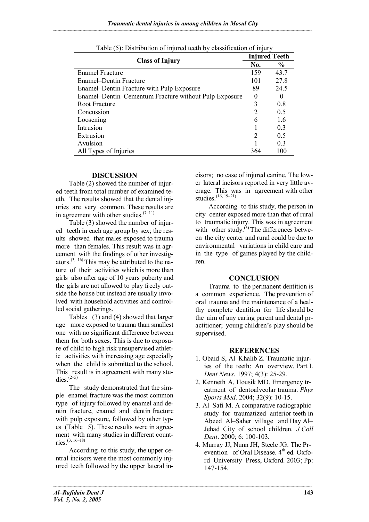| <b>Class of Injury</b>                                |          | <b>Injured Teeth</b> |  |
|-------------------------------------------------------|----------|----------------------|--|
|                                                       |          | $\frac{0}{0}$        |  |
| <b>Enamel Fracture</b>                                | 159      | 43.7                 |  |
| Enamel–Dentin Fracture                                | 101      | 27.8                 |  |
| Enamel–Dentin Fracture with Pulp Exposure             | 89       | 24.5                 |  |
| Enamel-Dentin-Cementum Fracture without Pulp Exposure | $\theta$ | $\theta$             |  |
| Root Fracture                                         | 3        | 0.8                  |  |
| Concussion                                            |          | 0.5                  |  |
| Loosening                                             | 6        | 1.6                  |  |
| Intrusion                                             |          | 0.3                  |  |
| Extrusion                                             | 2        | 0.5                  |  |
| Avulsion                                              |          | 0.3                  |  |
| All Types of Injuries                                 | 364      | 100                  |  |

|  |  | Table (5): Distribution of injured teeth by classification of injury |  |
|--|--|----------------------------------------------------------------------|--|
|  |  |                                                                      |  |

## **DISCUSSION**

Table (2) showed the number of injured teeth from total number of examined teeth. The results showed that the dental injuries are very common. These results are in agreement with other studies. $(7-11)$ 

Table (3) showed the number of injured teeth in each age group by sex; the results showed that males exposed to trauma more than females. This result was in agreement with the findings of other investigators.<sup>(3, 16)</sup> This may be attributed to the nature of their activities which is more than girls also after age of 10 years puberty and the girls are not allowed to play freely outside the house but instead are usually involved with household activities and controlled social gatherings.

Tables (3) and (4) showed that larger age more exposed to trauma than smallest one with no significant difference between them for both sexes. This is due to exposure of child to high risk unsupervised athletic activities with increasing age especially when the child is submitted to the school. This result is in agreement with many studies. $(2-5)$ 

The study demonstrated that the simple enamel fracture was the most common type of injury followed by enamel and dentin fracture, enamel and dentin fracture with pulp exposure, followed by other types (Table 5). These results were in agreement with many studies in different countries.(3, 16–18)

According to this study, the upper central incisors were the most commonly injured teeth followed by the upper lateral incisors; no case of injured canine. The lower lateral incisors reported in very little average. This was in agreement with other studies. $(16, 19-21)$ 

According to this study, the person in city center exposed more than that of rural to traumatic injury. This was in agreement with other study. $^{(3)}$  The differences between the city center and rural could be due to environmental variations in child care and in the type of games played by the children.

## **CONCLUSION**

Trauma to the permanent dentition is a common experience. The prevention of oral trauma and the maintenance of a healthy complete dentition for life should be the aim of any caring parent and dental practitioner; young children's play should be supervised.

# **REFERENCES**

- 1. Obaid S, Al–Khalib Z. Traumatic injuries of the teeth: An overview. Part I. *Dent News*. 1997; 4(3): 25-29.
- 2. Kenneth A, Housik MD. Emergency treatment of dentoalveolar trauma. *Phys Sports Med*. 2004; 32(9): 10-15.
- 3. Al–Safi M. A comparative radiographic study for traumatized anterior teeth in Abeed Al–Saher village and Hay Al– Jehad City of school children. *J Coll Dent*. 2000; 6: 100-103.
- 4. Murray JJ, Nunn JH, Steele JG. The Prevention of Oral Disease. 4<sup>th</sup> ed. Oxford University Press, Oxford. 2003; Pp: 147-154.